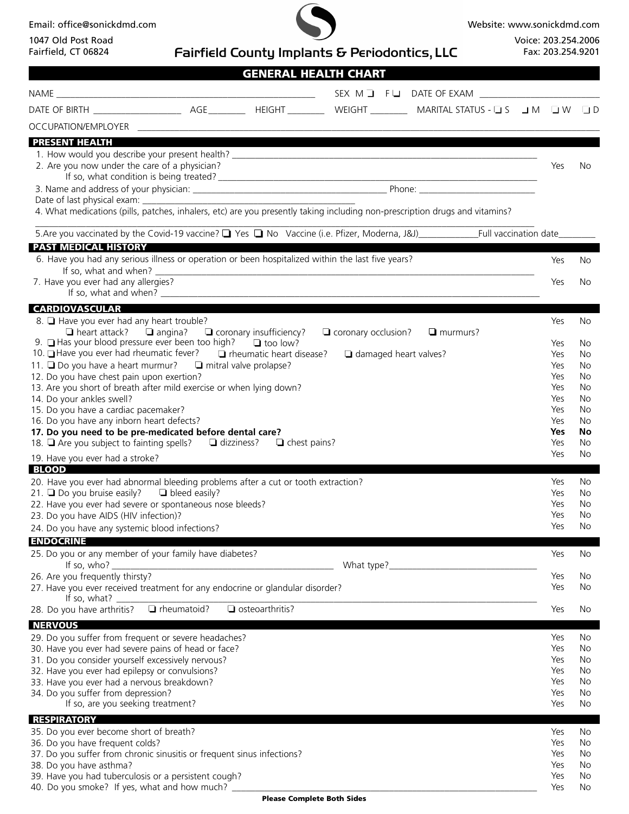Email: office@sonickdmd.com

1047 Old Post Road Fairfield, CT 06824



Website: www.sonickdmd.com

Voice: 203.254.2006 Fax: 203.254.9201

| Fairfield, CT 06824                                                                          | <b>Fairfield County Implants &amp; Periodontics, LLC</b>                                                                    |  | Fax: 203.254.9201 |          |
|----------------------------------------------------------------------------------------------|-----------------------------------------------------------------------------------------------------------------------------|--|-------------------|----------|
|                                                                                              | <b>GENERAL HEALTH CHART</b>                                                                                                 |  |                   |          |
|                                                                                              |                                                                                                                             |  |                   |          |
|                                                                                              |                                                                                                                             |  |                   |          |
|                                                                                              |                                                                                                                             |  |                   |          |
| <b>PRESENT HEALTH</b>                                                                        |                                                                                                                             |  |                   |          |
|                                                                                              |                                                                                                                             |  |                   |          |
| 2. Are you now under the care of a physician?                                                |                                                                                                                             |  | Yes               | No       |
|                                                                                              |                                                                                                                             |  |                   |          |
|                                                                                              |                                                                                                                             |  |                   |          |
|                                                                                              | 4. What medications (pills, patches, inhalers, etc) are you presently taking including non-prescription drugs and vitamins? |  |                   |          |
|                                                                                              |                                                                                                                             |  |                   |          |
| <b>PAST MEDICAL HISTORY</b>                                                                  |                                                                                                                             |  |                   |          |
|                                                                                              | 6. Have you had any serious illness or operation or been hospitalized within the last five years?                           |  | Yes               | No       |
| 7. Have you ever had any allergies?                                                          |                                                                                                                             |  | Yes               | No       |
|                                                                                              |                                                                                                                             |  |                   |          |
|                                                                                              | <b>CARDIOVASCULAR CARDIOVASCULAR</b>                                                                                        |  |                   |          |
| 8. Have you ever had any heart trouble?                                                      | $\Box$ heart attack? $\Box$ angina? $\Box$ coronary insufficiency?<br>$\Box$ coronary occlusion?<br>$\Box$ murmurs?         |  | Yes               | No       |
|                                                                                              | 9. $\Box$ Has your blood pressure ever been too high? $\Box$ too low?                                                       |  | Yes               | No       |
|                                                                                              | 10. ■ Have you ever had rheumatic fever? ■ Theumatic heart disease? ■ damaged heart valves?                                 |  | Yes               | No       |
| 12. Do you have chest pain upon exertion?                                                    | 11. Do you have a heart murmur? D mitral valve prolapse?                                                                    |  | Yes<br>Yes        | No<br>No |
|                                                                                              | 13. Are you short of breath after mild exercise or when lying down?                                                         |  | Yes               | No       |
| 14. Do your ankles swell?                                                                    |                                                                                                                             |  | Yes               | No       |
| 15. Do you have a cardiac pacemaker?                                                         |                                                                                                                             |  | Yes               | No       |
| 16. Do you have any inborn heart defects?                                                    | 17. Do you need to be pre-medicated before dental care?                                                                     |  | Yes<br>Yes        | No<br>No |
|                                                                                              | 18. Are you subject to fainting spells?<br>a dizziness?<br>a chest pains?                                                   |  | Yes               | No       |
| 19. Have you ever had a stroke?                                                              |                                                                                                                             |  | Yes               | No       |
| <b>BLOOD</b>                                                                                 | 20. Have you ever had abnormal bleeding problems after a cut or tooth extraction?                                           |  | Yes               | No.      |
| 21. $\Box$ Do you bruise easily? $\Box$ bleed easily?                                        |                                                                                                                             |  | Yes               | No.      |
| 22. Have you ever had severe or spontaneous nose bleeds?                                     |                                                                                                                             |  | Yes               | No.      |
| 23. Do you have AIDS (HIV infection)?<br>24. Do you have any systemic blood infections?      |                                                                                                                             |  | Yes<br>Yes        | No<br>No |
| <b>ENDOCRINE</b>                                                                             |                                                                                                                             |  |                   |          |
| 25. Do you or any member of your family have diabetes?                                       |                                                                                                                             |  | Yes               | No       |
| If so, $who?$                                                                                | What type?_                                                                                                                 |  |                   |          |
| 26. Are you frequently thirsty?                                                              | 27. Have you ever received treatment for any endocrine or glandular disorder?                                               |  | Yes<br>Yes        | No<br>No |
| If so, what?                                                                                 |                                                                                                                             |  |                   |          |
| 28. Do you have arthritis?                                                                   | T rheumatoid?<br>$\Box$ osteoarthritis?                                                                                     |  | Yes               | No       |
| <b>NERVOUS</b><br>29. Do you suffer from frequent or severe headaches?                       |                                                                                                                             |  | Yes               | No       |
| 30. Have you ever had severe pains of head or face?                                          |                                                                                                                             |  | Yes               | No       |
| 31. Do you consider yourself excessively nervous?                                            |                                                                                                                             |  | Yes               | No       |
| 32. Have you ever had epilepsy or convulsions?<br>33. Have you ever had a nervous breakdown? |                                                                                                                             |  | Yes<br>Yes        | No<br>No |
| 34. Do you suffer from depression?                                                           |                                                                                                                             |  | Yes               | No       |
| If so, are you seeking treatment?                                                            |                                                                                                                             |  | Yes               | No       |
| <b>RESPIRATORY</b>                                                                           |                                                                                                                             |  |                   |          |
| 35. Do you ever become short of breath?                                                      |                                                                                                                             |  | Yes               | No       |
| 36. Do you have frequent colds?                                                              | 37. Do you suffer from chronic sinusitis or frequent sinus infections?                                                      |  | Yes<br>Yes        | No<br>No |
| 38. Do you have asthma?                                                                      |                                                                                                                             |  | Yes               | No       |
| 39. Have you had tuberculosis or a persistent cough?                                         |                                                                                                                             |  | Yes               | No       |
|                                                                                              | 40. Do you smoke? If yes, what and how much? ___________________________________                                            |  | Yes               | No       |